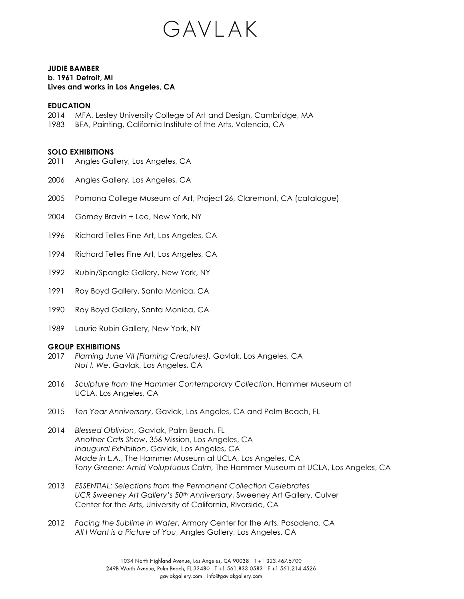

## **JUDIE BAMBER b. 1961 Detroit, MI Lives and works in Los Angeles, CA**

### **EDUCATION**

- 2014 MFA, Lesley University College of Art and Design, Cambridge, MA
- 1983 BFA, Painting, California Institute of the Arts, Valencia, CA

## **SOLO EXHIBITIONS**

- 2011 Angles Gallery, Los Angeles, CA
- 2006 Angles Gallery, Los Angeles, CA
- 2005 Pomona College Museum of Art, Project 26, Claremont, CA (catalogue)
- 2004 Gorney Bravin + Lee, New York, NY
- 1996 Richard Telles Fine Art, Los Angeles, CA
- 1994 Richard Telles Fine Art, Los Angeles, CA
- 1992 Rubin/Spangle Gallery, New York, NY
- 1991 Roy Boyd Gallery, Santa Monica, CA
- 1990 Roy Boyd Gallery, Santa Monica, CA
- 1989 Laurie Rubin Gallery, New York, NY

### **GROUP EXHIBITIONS**

- 2017 *Flaming June VII (Flaming Creatures),* Gavlak, Los Angeles, CA  *Not I, We*, Gavlak, Los Angeles, CA
- 2016 *Sculpture from the Hammer Contemporary Collection*, Hammer Museum at UCLA, Los Angeles, CA
- 2015 *Ten Year Anniversary*, Gavlak, Los Angeles, CA and Palm Beach, FL
- 2014 *Blessed Oblivion*, Gavlak, Palm Beach, FL *Another Cats Show*, 356 Mission, Los Angeles, CA *Inaugural Exhibition*, Gavlak, Los Angeles, CA *Made in L.A.*, The Hammer Museum at UCLA, Los Angeles, CA *Tony Greene: Amid Voluptuous Calm,* The Hammer Museum at UCLA, Los Angeles, CA
- 2013 *ESSENTIAL: Selections from the Permanent Collection Celebrates UCR Sweeney Art Gallery's 50th Anniversary*, Sweeney Art Gallery, Culver Center for the Arts, University of California, Riverside, CA
- 2012 *Facing the Sublime in Water*, Armory Center for the Arts, Pasadena, CA *All I Want is a Picture of You*, Angles Gallery, Los Angeles, CA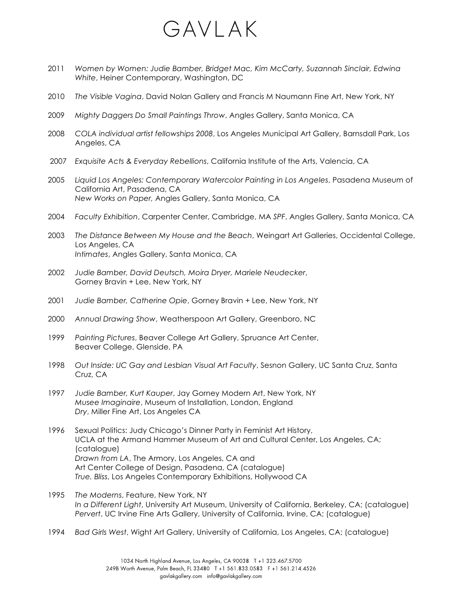# GAVLAK

- 2011 *Women by Women: Judie Bamber, Bridget Mac, Kim McCarty, Suzannah Sinclair, Edwina White*, Heiner Contemporary, Washington, DC
- 2010 *The Visible Vagina*, David Nolan Gallery and Francis M Naumann Fine Art, New York, NY
- 2009 *Mighty Daggers Do Small Paintings Throw*, Angles Gallery, Santa Monica, CA
- 2008 *COLA individual artist fellowships 2008*, Los Angeles Municipal Art Gallery, Barnsdall Park, Los Angeles, CA
- 2007 *Exquisite Acts & Everyday Rebellions*, California Institute of the Arts, Valencia, CA
- 2005 *Liquid Los Angeles: Contemporary Watercolor Painting in Los Angeles*, Pasadena Museum of California Art, Pasadena, CA *New Works on Paper,* Angles Gallery, Santa Monica, CA
- 2004 *Faculty Exhibition*, Carpenter Center, Cambridge, MA *SPF*, Angles Gallery, Santa Monica, CA
- 2003 *The Distance Between My House and the Beach*, Weingart Art Galleries, Occidental College, Los Angeles, CA *Intimates*, Angles Gallery, Santa Monica, CA
- 2002 *Judie Bamber, David Deutsch, Moira Dryer, Mariele Neudecker*, Gorney Bravin + Lee, New York, NY
- 2001 *Judie Bamber, Catherine Opie*, Gorney Bravin + Lee, New York, NY
- 2000 *Annual Drawing Show*, Weatherspoon Art Gallery, Greenboro, NC
- 1999 *Painting Pictures*, Beaver College Art Gallery, Spruance Art Center, Beaver College, Glenside, PA
- 1998 *Out Inside: UC Gay and Lesbian Visual Art Faculty*, Sesnon Gallery, UC Santa Cruz, Santa Cruz, CA
- 1997 *Judie Bamber, Kurt Kauper*, Jay Gorney Modern Art, New York, NY *Musee Imaginaire*, Museum of Installation, London, England *Dry*, Miller Fine Art, Los Angeles CA
- 1996 Sexual Politics: Judy Chicago's Dinner Party in Feminist Art History, UCLA at the Armand Hammer Museum of Art and Cultural Center, Los Angeles, CA; (catalogue) *Drawn from LA*, The Armory, Los Angeles, CA and Art Center College of Design, Pasadena, CA (catalogue) *True. Bliss*, Los Angeles Contemporary Exhibitions, Hollywood CA
- 1995 *The Moderns*, Feature, New York, NY *In a Different Light*, University Art Museum, University of California, Berkeley, CA; (catalogue) *Pervert*, UC Irvine Fine Arts Gallery, University of California, Irvine, CA; (catalogue)
- 1994 *Bad Girls West*, Wight Art Gallery, University of California, Los Angeles, CA; (catalogue)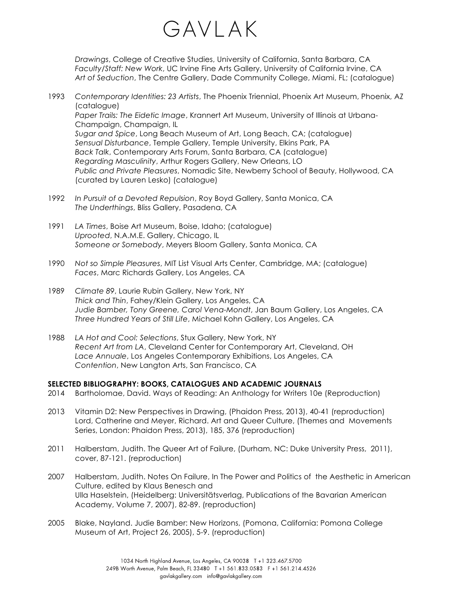

*Drawings*, College of Creative Studies, University of California, Santa Barbara, CA *Faculty/Staff: New Work*, UC Irvine Fine Arts Gallery, University of California Irvine, CA *Art of Seduction*, The Centre Gallery, Dade Community College, Miami, FL; (catalogue)

- 1993 *Contemporary Identities: 23 Artists*, The Phoenix Triennial, Phoenix Art Museum, Phoenix, AZ (catalogue) *Paper Trails: The Eidetic Image*, Krannert Art Museum, University of Illinois at Urbana-Champaign, Champaign, IL *Sugar and Spice*, Long Beach Museum of Art, Long Beach, CA; (catalogue) *Sensual Disturbance*, Temple Gallery, Temple University, Elkins Park, PA *Back Talk*, Contemporary Arts Forum, Santa Barbara, CA (catalogue) *Regarding Masculinity*, Arthur Rogers Gallery, New Orleans, LO *Public and Private Pleasures*, Nomadic Site, Newberry School of Beauty, Hollywood, CA (curated by Lauren Lesko) (catalogue)
- 1992 *In Pursuit of a Devoted Repulsion*, Roy Boyd Gallery, Santa Monica, CA *The Underthings*, Bliss Gallery, Pasadena, CA
- 1991 *LA Times*, Boise Art Museum, Boise, Idaho; (catalogue) *Uprooted*, N.A.M.E. Gallery, Chicago, IL *Someone or Somebody*, Meyers Bloom Gallery, Santa Monica, CA
- 1990 *Not so Simple Pleasures*, MIT List Visual Arts Center, Cambridge, MA; (catalogue) *Faces*, Marc Richards Gallery, Los Angeles, CA
- 1989 *Climate 89*, Laurie Rubin Gallery, New York, NY *Thick and Thin*, Fahey/Klein Gallery, Los Angeles, CA *Judie Bamber, Tony Greene, Carol Vena-Mondt*, Jan Baum Gallery, Los Angeles, CA *Three Hundred Years of Still Life*, Michael Kohn Gallery, Los Angeles, CA
- 1988 *LA Hot and Cool: Selections*, Stux Gallery, New York, NY *Recent Art from LA*, Cleveland Center for Contemporary Art, Cleveland, OH *Lace Annuale*, Los Angeles Contemporary Exhibitions, Los Angeles, CA *Contention*, New Langton Arts, San Francisco, CA

### **SELECTED BIBLIOGRAPHY: BOOKS, CATALOGUES AND ACADEMIC JOURNALS**

- 2014 Bartholomae, David. Ways of Reading: An Anthology for Writers 10e (Reproduction)
- 2013 Vitamin D2: New Perspectives in Drawing, (Phaidon Press, 2013), 40-41 (reproduction) Lord, Catherine and Meyer, Richard. Art and Queer Culture, (Themes and Movements Series, London: Phaidon Press, 2013), 185, 376 (reproduction)
- 2011 Halberstam, Judith. The Queer Art of Failure, (Durham, NC: Duke University Press, 2011), cover, 87-121. (reproduction)
- 2007 Halberstam, Judith. Notes On Failure, In The Power and Politics of the Aesthetic in American Culture, edited by Klaus Benesch and Ulla Haselstein, (Heidelberg: Universitätsverlag, Publications of the Bavarian American Academy, Volume 7, 2007), 82-89. (reproduction)
- 2005 Blake, Nayland. Judie Bamber: New Horizons, (Pomona, California: Pomona College Museum of Art, Project 26, 2005), 5-9. (reproduction)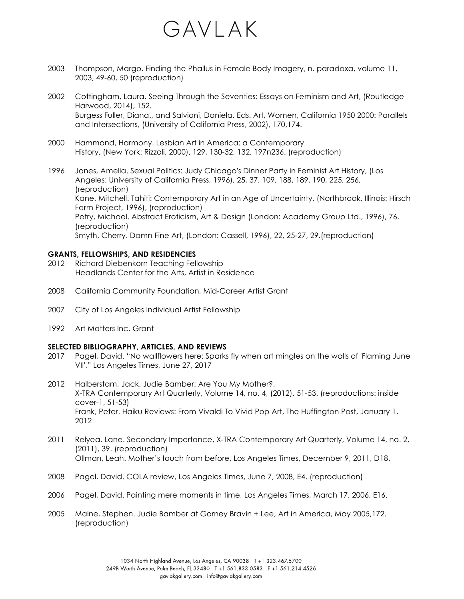# GAVLAK

- 2003 Thompson, Margo. Finding the Phallus in Female Body Imagery, n. paradoxa, volume 11, 2003, 49-60, 50 (reproduction)
- 2002 Cottingham, Laura. Seeing Through the Seventies: Essays on Feminism and Art, (Routledge Harwood, 2014), 152. Burgess Fuller, Diana., and Salvioni, Daniela. Eds. Art, Women, California 1950 2000: Parallels and Intersections, (University of California Press, 2002), 170,174.
- 2000 Hammond, Harmony. Lesbian Art in America: a Contemporary History, (New York: Rizzoli, 2000), 129, 130-32, 132, 197n236. (reproduction)
- 1996 Jones, Amelia. Sexual Politics: Judy Chicago's Dinner Party in Feminist Art History, (Los Angeles: University of California Press, 1996), 25, 37, 109, 188, 189, 190, 225, 256, (reproduction) Kane, Mitchell. Tahiti: Contemporary Art in an Age of Uncertainty, (Northbrook, Illinois: Hirsch Farm Project, 1996), (reproduction) Petry, Michael. Abstract Eroticism, Art & Design (London: Academy Group Ltd., 1996), 76. (reproduction) Smyth, Cherry. Damn Fine Art, (London: Cassell, 1996), 22, 25-27, 29.(reproduction)

## **GRANTS, FELLOWSHIPS, AND RESIDENCIES**

- 2012 Richard Diebenkorn Teaching Fellowship Headlands Center for the Arts, Artist in Residence
- 2008 California Community Foundation, Mid-Career Artist Grant
- 2007 City of Los Angeles Individual Artist Fellowship
- 1992 Art Matters Inc. Grant

### **SELECTED BIBLIOGRAPHY, ARTICLES, AND REVIEWS**

- 2017 Pagel, David. "No wallflowers here: Sparks fly when art mingles on the walls of 'Flaming June VII'," Los Angeles Times, June 27, 2017
- 2012 Halberstam, Jack. Judie Bamber: Are You My Mother?, X-TRA Contemporary Art Quarterly, Volume 14, no. 4, (2012), 51-53. (reproductions: inside cover-1, 51-53) Frank, Peter. Haiku Reviews: From Vivaldi To Vivid Pop Art, The Huffington Post, January 1, 2012
- 2011 Relyea, Lane. Secondary Importance, X-TRA Contemporary Art Quarterly, Volume 14, no. 2, (2011), 39. (reproduction) Ollman, Leah. Mother's touch from before, Los Angeles Times, December 9, 2011, D18.
- 2008 Pagel, David. COLA review, Los Angeles Times, June 7, 2008, E4. (reproduction)
- 2006 Pagel, David. Painting mere moments in time, Los Angeles Times, March 17, 2006, E16.
- 2005 Maine, Stephen. Judie Bamber at Gorney Bravin + Lee, Art in America, May 2005,172. (reproduction)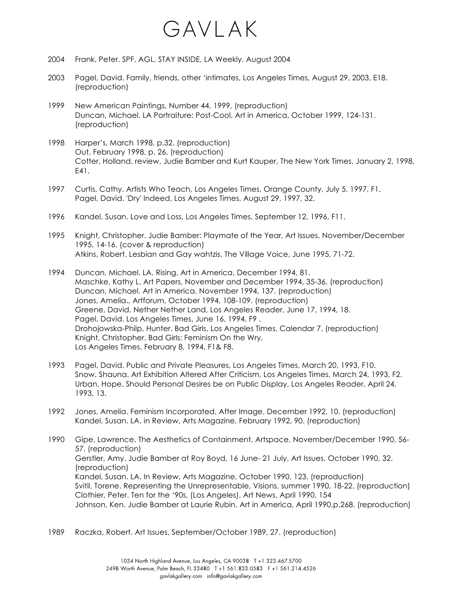# GAVLAK

- 2004 Frank, Peter. SPF, AGL, STAY INSIDE, LA Weekly, August 2004
- 2003 Pagel, David. Family, friends, other 'intimates, Los Angeles Times, August 29, 2003, E18. (reproduction)
- 1999 New American Paintings, Number 44, 1999, (reproduction) Duncan, Michael. LA Portraiture: Post-Cool, Art in America, October 1999, 124-131. (reproduction)
- 1998 Harper's, March 1998, p.32. (reproduction) Out, February 1998, p. 26. (reproduction) Cotter, Holland. review, Judie Bamber and Kurt Kauper, The New York Times, January 2, 1998, E41.
- 1997 Curtis, Cathy. Artists Who Teach, Los Angeles Times, Orange County, July 5, 1997, F1. Pagel, David. 'Dry' Indeed, Los Angeles Times, August 29, 1997, 32.
- 1996 Kandel, Susan. Love and Loss, Los Angeles Times, September 12, 1996, F11.
- 1995 Knight, Christopher. Judie Bamber: Playmate of the Year, Art Issues, November/December 1995, 14-16. (cover & reproduction) Atkins, Robert. Lesbian and Gay wahtzis, The Village Voice, June 1995, 71-72.
- 1994 Duncan, Michael. LA. Rising, Art in America, December 1994, 81. Maschke, Kathy L. Art Papers, November and December 1994, 35-36. (reproduction) Duncan, Michael. Art in America, November 1994, 137. (reproduction) Jones, Amelia., Artforum, October 1994, 108-109. (reproduction) Greene, David. Nether Nether Land, Los Angeles Reader, June 17, 1994, 18. Pagel, David. Los Angeles Times, June 16, 1994, F9 . Drohojowska-Philp, Hunter. Bad Girls, Los Angeles Times, Calendar 7. (reproduction) Knight, Christopher. Bad Girls: Feminism On the Wry, Los Angeles Times, February 8, 1994, F1& F8.
- 1993 Pagel, David. Public and Private Pleasures, Los Angeles Times, March 20, 1993, F10. Snow, Shauna. Art Exhibition Altered After Criticism, Los Angeles Times, March 24, 1993, F2. Urban, Hope. Should Personal Desires be on Public Display, Los Angeles Reader, April 24, 1993, 13.
- 1992 Jones, Amelia. Feminism Incorporated, After Image, December 1992, 10. (reproduction) Kandel, Susan. LA. in Review, Arts Magazine, February 1992, 90. (reproduction)
- 1990 Gipe, Lawrence. The Aesthetics of Containment, Artspace, November/December 1990, 56- 57. (reproduction) Gerstler, Amy. Judie Bamber at Roy Boyd, 16 June- 21 July, Art Issues, October 1990, 32. (reproduction) Kandel, Susan. LA. In Review, Arts Magazine, October 1990, 123. (reproduction) Svitil, Torene. Representing the Unrepresentable, Visions, summer 1990, 18-22. (reproduction) Clothier, Peter. Ten for the '90s, (Los Angeles), Art News, April 1990, 154 Johnson, Ken. Judie Bamber at Laurie Rubin, Art in America, April 1990,p.268. (reproduction)
- 1989 Raczka, Robert. Art Issues, September/October 1989, 27. (reproduction)